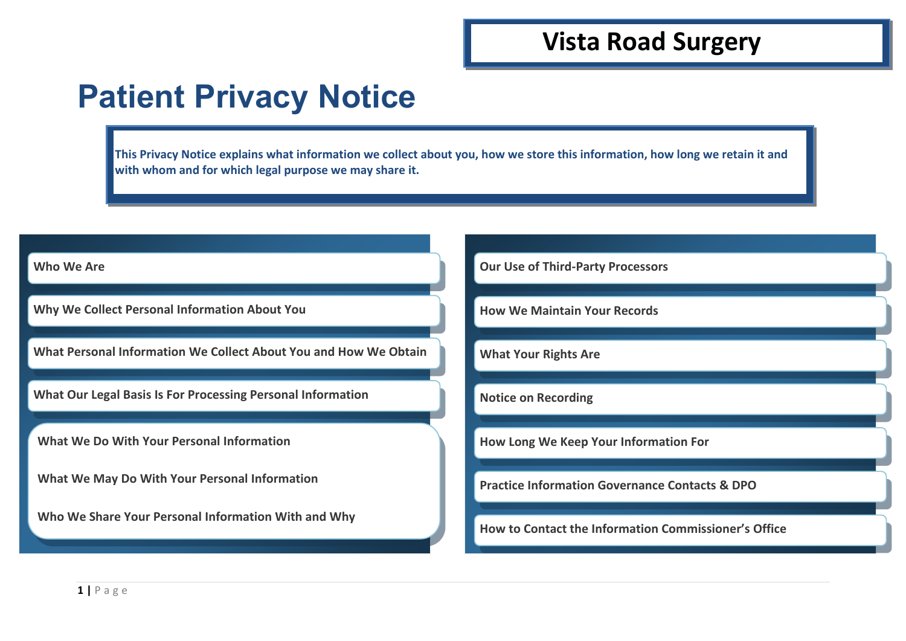## **Vista Road Surgery**

# **Patient Privacy Notice**

**This Privacy Notice explains what information we collect about you, how we store this information, how long we retain it and with whom and for which legal purpose we may share it.** 

#### **Who We Are**

**Why We Collect Personal Information About You**

**What Personal Information We Collect About You and How We Obtain** 

**What Our Legal Basis Is For Processing Personal Information**

**What We Do With Your Personal Information**

**What We May Do With Your Personal Information**

**Who We Share Your Personal Information With and Why**

**Our Use of Third-Party Processors**

**How We Maintain Your Records**

**What Your Rights Are**

**Notice on Recording**

**How Long We Keep Your Information For**

**Practice Information Governance Contacts & DPO**

**How to Contact the Information Commissioner's Office**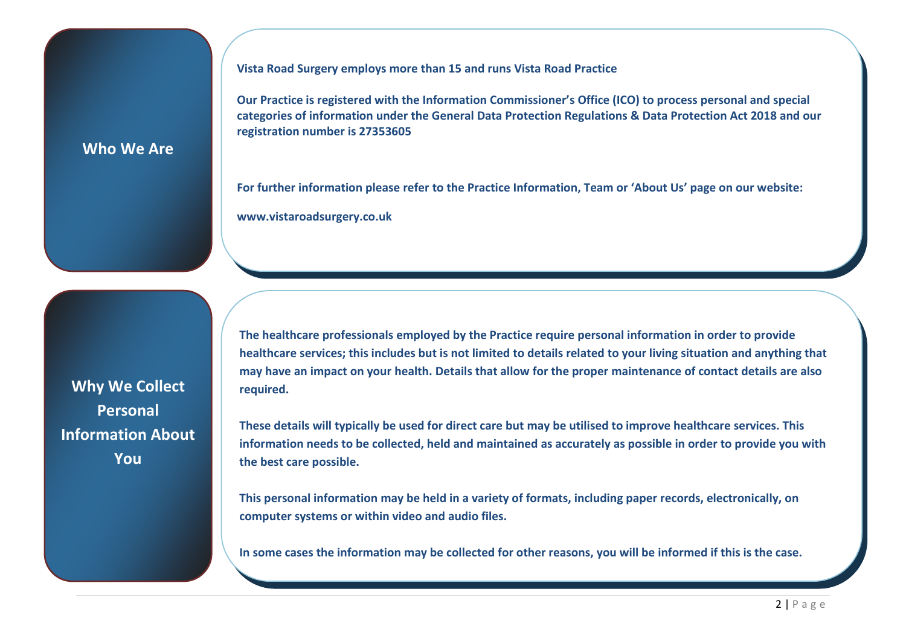**Vista Road Surgery employs more than 15 and runs Vista Road Practice** 

**Our Practice is registered with the Information Commissioner's Office (ICO) to process personal and special categories of information under the General Data Protection Regulations & Data Protection Act 2018 and our registration number is 27353605**

#### **Who We Are**

**For further information please refer to the Practice Information, Team or 'About Us' page on our website: www.vistaroadsurgery.co.uk** 

**Why We Collect Personal Information About You**

**The healthcare professionals employed by the Practice require personal information in order to provide healthcare services; this includes but is not limited to details related to your living situation and anything that may have an impact on your health. Details that allow for the proper maintenance of contact details are also required.** 

**These details will typically be used for direct care but may be utilised to improve healthcare services. This information needs to be collected, held and maintained as accurately as possible in order to provide you with the best care possible.** 

**This personal information may be held in a variety of formats, including paper records, electronically, on computer systems or within video and audio files.**

**In some cases the information may be collected for other reasons, you will be informed if this is the case.**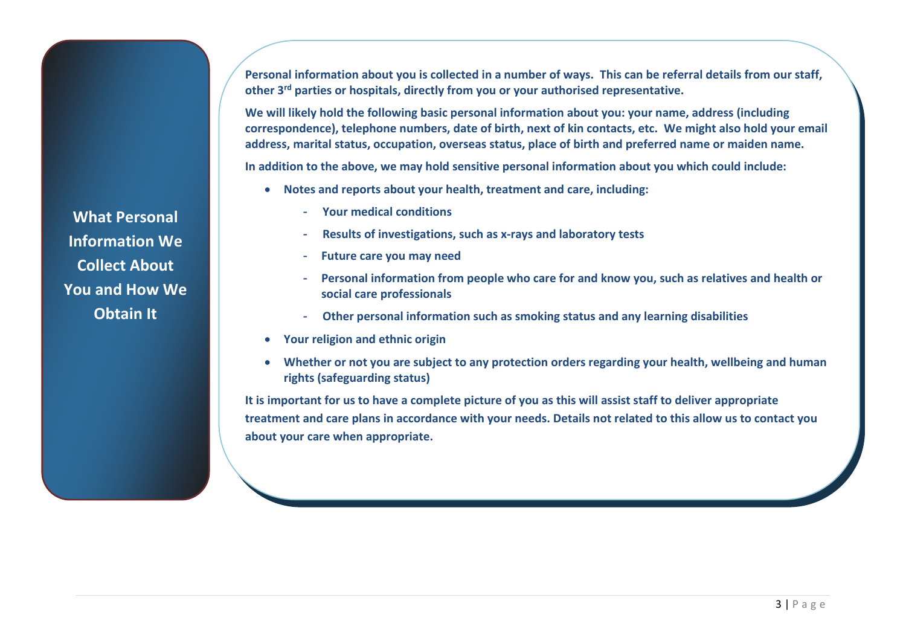**Personal information about you is collected in a number of ways. This can be referral details from our staff, other 3rd parties or hospitals, directly from you or your authorised representative.**

**We will likely hold the following basic personal information about you: your name, address (including correspondence), telephone numbers, date of birth, next of kin contacts, etc. We might also hold your email address, marital status, occupation, overseas status, place of birth and preferred name or maiden name.**

**In addition to the above, we may hold sensitive personal information about you which could include:** 

- **Notes and reports about your health, treatment and care, including:**
	- **Your medical conditions**
	- **Results of investigations, such as x-rays and laboratory tests**
	- **Future care you may need**
	- **Personal information from people who care for and know you, such as relatives and health or social care professionals**
	- **Other personal information such as smoking status and any learning disabilities**
- **Your religion and ethnic origin**
- **Whether or not you are subject to any protection orders regarding your health, wellbeing and human rights (safeguarding status)**

**It is important for us to have a complete picture of you as this will assist staff to deliver appropriate treatment and care plans in accordance with your needs. Details not related to this allow us to contact you about your care when appropriate.**

**What Personal Information We Collect About You and How We Obtain It**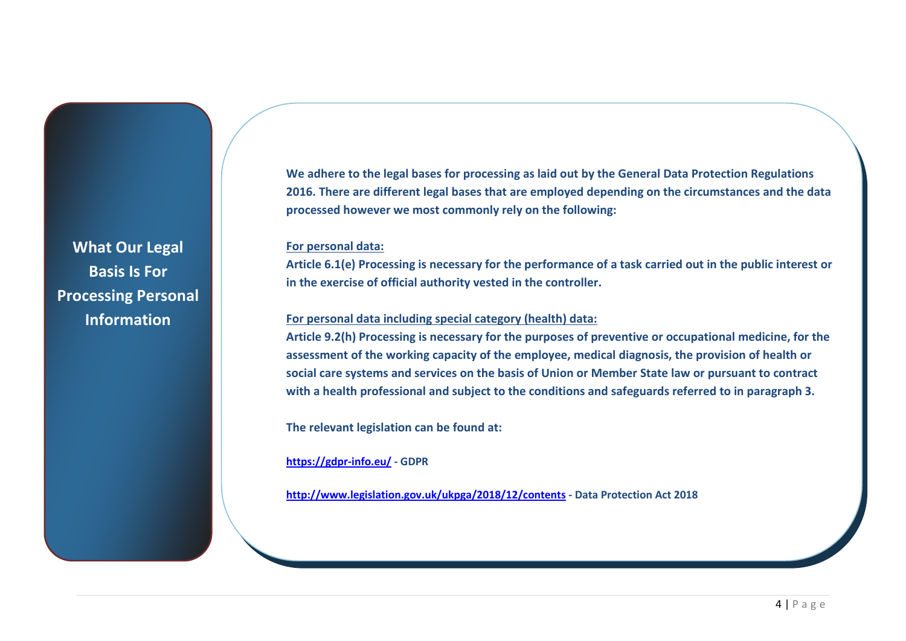**What Our Legal Basis Is For Processing Personal Information**

**We adhere to the legal bases for processing as laid out by the General Data Protection Regulations 2016. There are different legal bases that are employed depending on the circumstances and the data processed however we most commonly rely on the following:**

#### **For personal data:**

**Article 6.1(e) Processing is necessary for the performance of a task carried out in the public interest or in the exercise of official authority vested in the controller.** 

#### **For personal data including special category (health) data:**

**Article 9.2(h) Processing is necessary for the purposes of preventive or occupational medicine, for the assessment of the working capacity of the employee, medical diagnosis, the provision of health or social care systems and services on the basis of Union or Member State law or pursuant to contract with a health professional and subject to the conditions and safeguards referred to in paragraph 3.**

**The relevant legislation can be found at:** 

**<https://gdpr-info.eu/>- GDPR**

**<http://www.legislation.gov.uk/ukpga/2018/12/contents>- Data Protection Act 2018**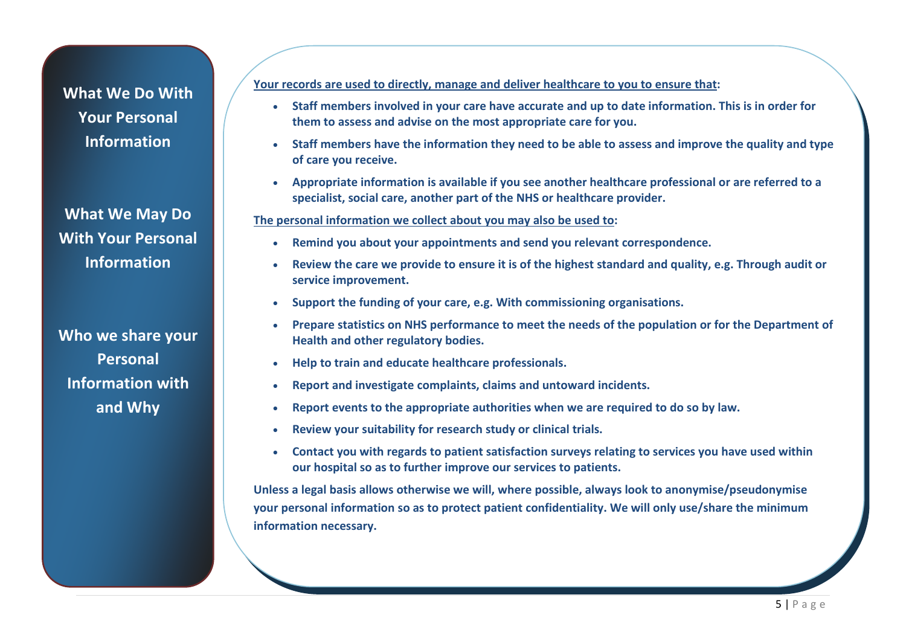### **What We Do With Your Personal Information**

**What We May Do With Your Personal Information**

**Who we share your Personal Information with and Why**

#### **Your records are used to directly, manage and deliver healthcare to you to ensure that:**

- **Staff members involved in your care have accurate and up to date information. This is in order for them to assess and advise on the most appropriate care for you.**
- **Staff members have the information they need to be able to assess and improve the quality and type of care you receive.**
- **Appropriate information is available if you see another healthcare professional or are referred to a specialist, social care, another part of the NHS or healthcare provider.**

#### **The personal information we collect about you may also be used to:**

- **Remind you about your appointments and send you relevant correspondence.**
- **Review the care we provide to ensure it is of the highest standard and quality, e.g. Through audit or service improvement.**
- **Support the funding of your care, e.g. With commissioning organisations.**
- **Prepare statistics on NHS performance to meet the needs of the population or for the Department of Health and other regulatory bodies.**
- **Help to train and educate healthcare professionals.**
- **Report and investigate complaints, claims and untoward incidents.**
- **Report events to the appropriate authorities when we are required to do so by law.**
- **Review your suitability for research study or clinical trials.**
- **Contact you with regards to patient satisfaction surveys relating to services you have used within our hospital so as to further improve our services to patients.**

**Unless a legal basis allows otherwise we will, where possible, always look to anonymise/pseudonymise your personal information so as to protect patient confidentiality. We will only use/share the minimum information necessary.**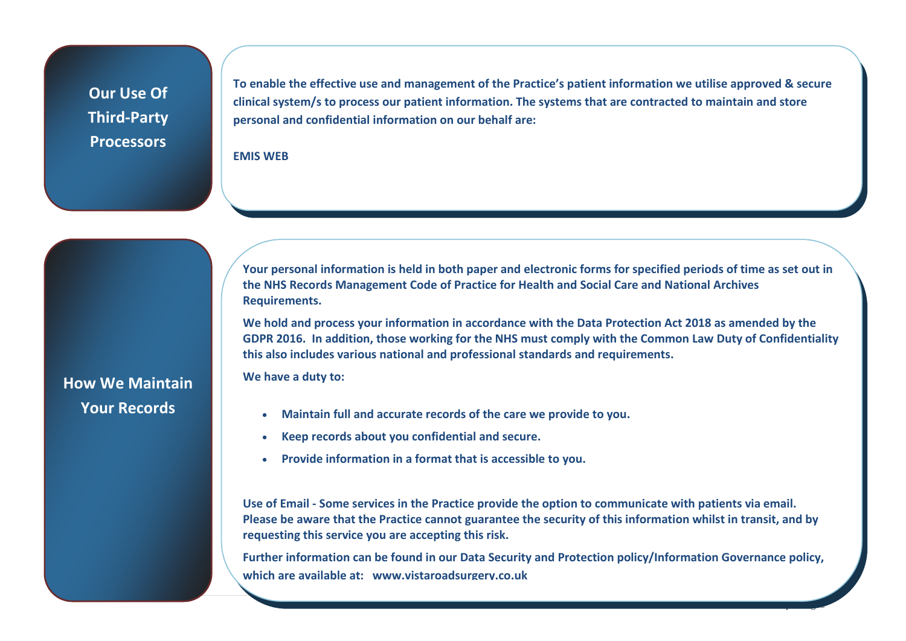## **Our Use Of Third-Party Processors**

**How We Maintain** 

**Your Records**

**To enable the effective use and management of the Practice's patient information we utilise approved & secure clinical system/s to process our patient information. The systems that are contracted to maintain and store personal and confidential information on our behalf are:**

#### **EMIS WEB**

**Your personal information is held in both paper and electronic forms for specified periods of time as set out in the NHS Records Management Code of Practice for Health and Social Care and National Archives Requirements.**

**We hold and process your information in accordance with the Data Protection Act 2018 as amended by the GDPR 2016. In addition, those working for the NHS must comply with the Common Law Duty of Confidentiality this also includes various national and professional standards and requirements.** 

**We have a duty to:**

- **Maintain full and accurate records of the care we provide to you.**
- **Keep records about you confidential and secure.**
- **Provide information in a format that is accessible to you.**

**Use of Email - Some services in the Practice provide the option to communicate with patients via email. Please be aware that the Practice cannot guarantee the security of this information whilst in transit, and by requesting this service you are accepting this risk.**

**Further information can be found in our Data Security and Protection policy/Information Governance policy, which are available at: www.vistaroadsurgery.co.uk**

6 | Page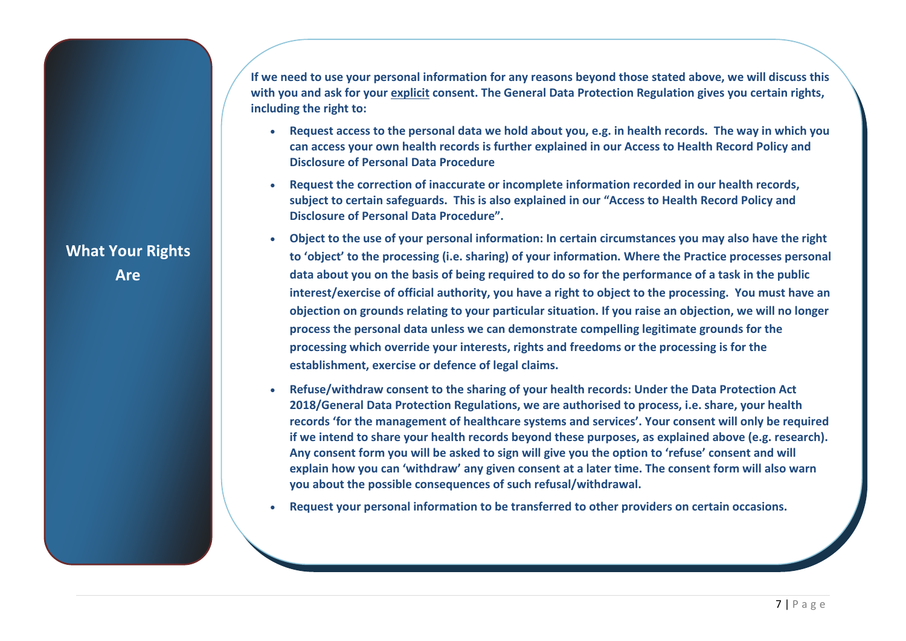**If we need to use your personal information for any reasons beyond those stated above, we will discuss this with you and ask for your explicit consent. The General Data Protection Regulation gives you certain rights, including the right to:**

- **Request access to the personal data we hold about you, e.g. in health records. The way in which you can access your own health records is further explained in our Access to Health Record Policy and Disclosure of Personal Data Procedure**
- **Request the correction of inaccurate or incomplete information recorded in our health records, subject to certain safeguards. This is also explained in our "Access to Health Record Policy and Disclosure of Personal Data Procedure".**
- **Object to the use of your personal information: In certain circumstances you may also have the right to 'object' to the processing (i.e. sharing) of your information. Where the Practice processes personal data about you on the basis of being required to do so for the performance of a task in the public interest/exercise of official authority, you have a right to object to the processing. You must have an objection on grounds relating to your particular situation. If you raise an objection, we will no longer process the personal data unless we can demonstrate compelling legitimate grounds for the processing which override your interests, rights and freedoms or the processing is for the establishment, exercise or defence of legal claims.**
- **Refuse/withdraw consent to the sharing of your health records: Under the Data Protection Act 2018/General Data Protection Regulations, we are authorised to process, i.e. share, your health records 'for the management of healthcare systems and services'. Your consent will only be required if we intend to share your health records beyond these purposes, as explained above (e.g. research). Any consent form you will be asked to sign will give you the option to 'refuse' consent and will explain how you can 'withdraw' any given consent at a later time. The consent form will also warn you about the possible consequences of such refusal/withdrawal.**
- **Request your personal information to be transferred to other providers on certain occasions.**

**What Your Rights Are**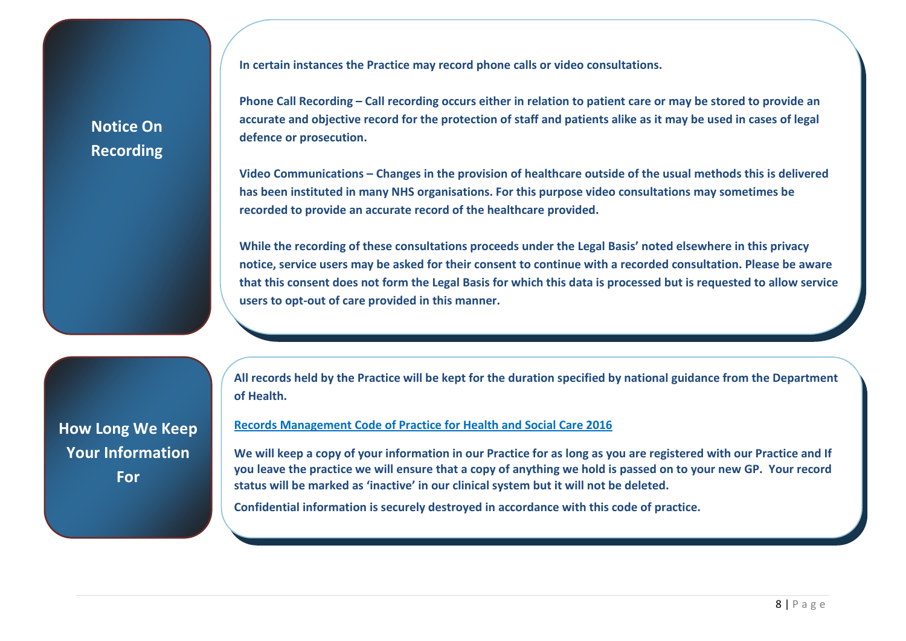**Notice On Recording** **In certain instances the Practice may record phone calls or video consultations.** 

**Phone Call Recording – Call recording occurs either in relation to patient care or may be stored to provide an accurate and objective record for the protection of staff and patients alike as it may be used in cases of legal defence or prosecution.**

**Video Communications – Changes in the provision of healthcare outside of the usual methods this is delivered has been instituted in many NHS organisations. For this purpose video consultations may sometimes be recorded to provide an accurate record of the healthcare provided.** 

**While the recording of these consultations proceeds under the Legal Basis' noted elsewhere in this privacy notice, service users may be asked for their consent to continue with a recorded consultation. Please be aware that this consent does not form the Legal Basis for which this data is processed but is requested to allow service users to opt-out of care provided in this manner.** 

**How Long We Keep Your Information For** 

**All records held by the Practice will be kept for the duration specified by national guidance from the Department of Health.** 

#### **[Records Management Code of Practice for Health and Social Care 2016](https://digital.nhs.uk/binaries/content/assets/legacy/pdf/n/b/records-management-cop-hsc-2016.pdf)**

**We will keep a copy of your information in our Practice for as long as you are registered with our Practice and If you leave the practice we will ensure that a copy of anything we hold is passed on to your new GP. Your record status will be marked as 'inactive' in our clinical system but it will not be deleted.**

**Confidential information is securely destroyed in accordance with this code of practice.**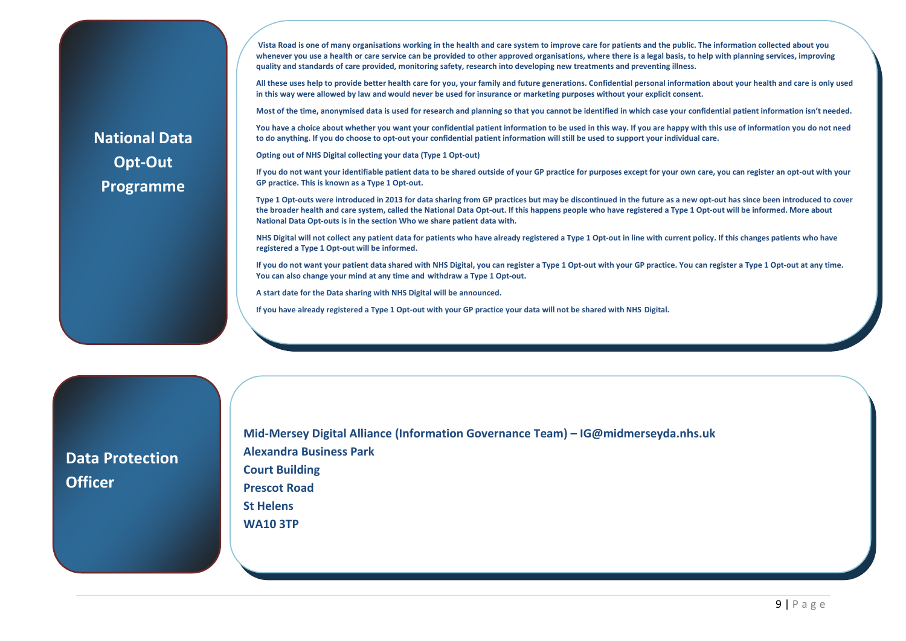**Vista Road is one of many organisations working in the health and care system to improve care for patients and the public. The information collected about you**  whenever you use a health or care service can be provided to other approved organisations, where there is a legal basis, to help with planning services, improving **quality and standards of care provided, monitoring safety, research into developing new treatments and preventing illness.**

**All these uses help to provide better health care for you, your family and future generations. Confidential personal information about your health and care is only used in this way were allowed by law and would never be used for insurance or marketing purposes without your explicit consent.**

**Most of the time, anonymised data is used for research and planning so that you cannot be identified in which case your confidential patient information isn't needed.**

**You have a choice about whether you want your confidential patient information to be used in this way. If you are happy with this use of information you do not need to do anything. If you do choose to opt-out your confidential patient information will still be used to support your individual care.**

**Opting out of NHS Digital collecting your data (Type 1 Opt-out)**

**If you do not want your identifiable patient data to be shared outside of your GP practice for purposes except for your own care, you can register an opt-out with your GP practice. This is known as a Type 1 Opt-out.**

**Type 1 Opt-outs were introduced in 2013 for data sharing from GP practices but may be discontinued in the future as a new opt-out has since been introduced to cover the broader health and care system, called the National Data Opt-out. If this happens people who have registered a Type 1 Opt-out will be informed. More about National Data Opt-outs is in the section Who we share patient data with.**

**NHS Digital will not collect any patient data for patients who have already registered a Type 1 Opt-out in line with current policy. If this changes patients who have registered a Type 1 Opt-out will be informed.**

**If you do not want your patient data shared with NHS Digital, you can register a Type 1 Opt-out with your GP practice. You can register a Type 1 Opt-out at any time. You can also change your mind at any time and withdraw a Type 1 Opt-out.**

**A start date for the Data sharing with NHS Digital will be announced.**

**If you have already registered a Type 1 Opt-out with your GP practice your data will not be shared with NHS Digital.**

**Data Protection Officer**

 **Mid-Mersey Digital Alliance (Information Governance Team) – IG@midmerseyda.nhs.uk Alexandra Business Park Court Building Prescot Road St Helens WA10 3TP**

## **National Data Opt-Out Programme**